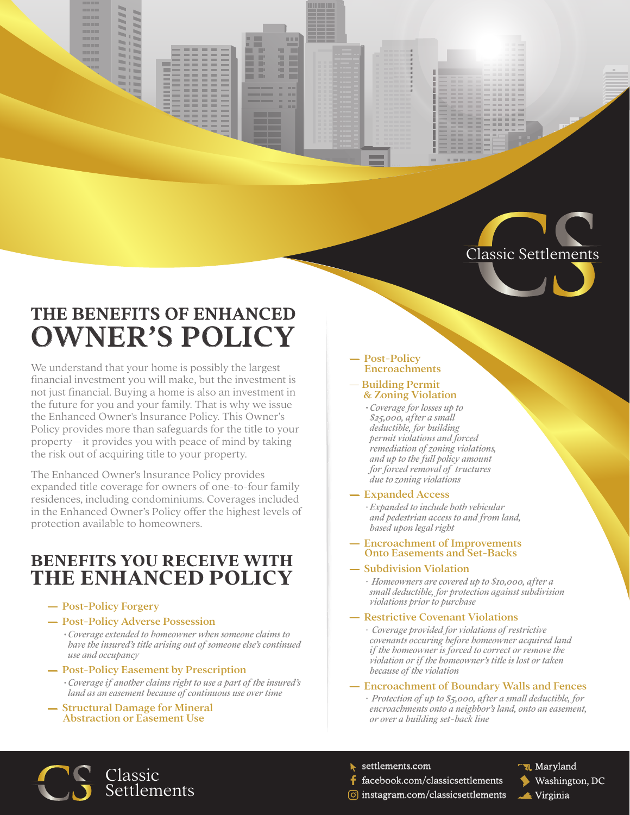



# THE BENEFITS OF ENHANCED OWNER'S POLICY

We understand that your home is possibly the largest financial investment you will make, but the investment is not just financial. Buying a home is also an investment in the future for you and your family. That is why we issue the Enhanced Owner's lnsurance Policy. This Owner's Policy provides more than safeguards for the title to your property—it provides you with peace of mind by taking the risk out of acquiring title to your property.

The Enhanced Owner's lnsurance Policy provides expanded title coverage for owners of one-to-four family residences, including condominiums. Coverages included in the Enhanced Owner's Policy offer the highest levels of protection available to homeowners.

# **BENEFITS YOU RECEIVE WITH THE ENHANCED POLICY**

- ― Post-Policy Forgery
- ― Post-Policy Adverse Possession

*· Coverage extended to homeowner when someone claims to have the insured's title arising out of someone else's continued use and occupancy*

- ― Post-Policy Easement by Prescription *· Coverage if another claims right to use a part of the insured's land as an easement because of continuous use over time*
- ― Structural Damage for Mineral Abstraction or Easement Use

#### Post-Policy Encroachments

#### ― Building Permit & Zoning Violation

*· Coverage for losses up to \$25,000, after a small deductible, for building permit violations and forced remediation of zoning violations, and up to the full policy amount for forced removal of tructures due to zoning violations*

#### ― Expanded Access

*· Expanded to include both vehicular and pedestrian access to and from land, based upon legal right*

#### ― Encroachment of Improvements Onto Easements and Set-Backs

### ― Subdivision Violation

*· Homeowners are covered up to \$10,000, after a small deductible, for protection against subdivision violations prior to purchase*

### ― Restrictive Covenant Violations

*· Coverage provided for violations of restrictive covenants occuring before homeowner acquired land if the homeowner is forced to correct or remove the violation or if the homeowner's title is lost or taken because of the violation*

#### ― Encroachment of Boundary Walls and Fences

*· Protection of up to \$5,000, after a small deductible, for encroachments onto a neighbor's land, onto an easement, or over a building set-back line*



settlements.com

- facebook.com/classicsettlements
- ार, Maryland Washington, DC Virginia
- $\odot$  instagram.com/classicsettlements